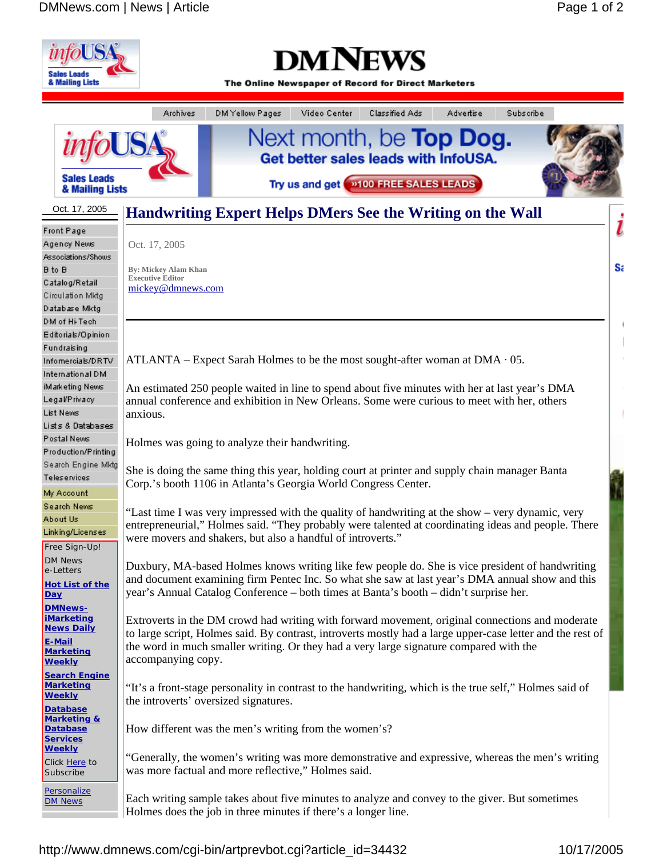